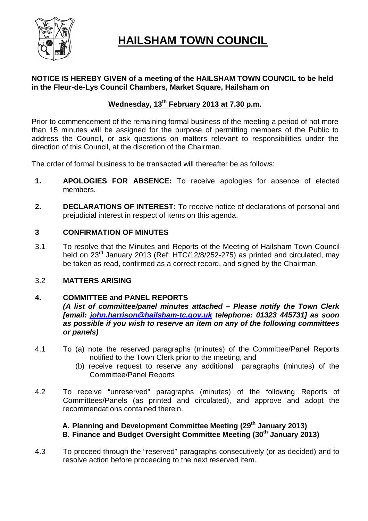

# **HAILSHAM TOWN COUNCIL**

# **NOTICE IS HEREBY GIVEN of a meeting of the HAILSHAM TOWN COUNCIL to be held in the Fleur-de-Lys Council Chambers, Market Square, Hailsham on**

# **Wednesday, 13 th February 2013 at 7.30 p.m.**

Prior to commencement of the remaining formal business of the meeting a period of not more than 15 minutes will be assigned for the purpose of permitting members of the Public to address the Council, or ask questions on matters relevant to responsibilities under the direction of this Council, at the discretion of the Chairman.

The order of formal business to be transacted will thereafter be as follows:

- **1. APOLOGIES FOR ABSENCE:** To receive apologies for absence of elected members.
- **2. DECLARATIONS OF INTEREST:** To receive notice of declarations of personal and prejudicial interest in respect of items on this agenda.

# **3 CONFIRMATION OF MINUTES**

3.1 To resolve that the Minutes and Reports of the Meeting of Hailsham Town Council held on 23<sup>rd</sup> January 2013 (Ref: HTC/12/8/252-275) as printed and circulated, may be taken as read, confirmed as a correct record, and signed by the Chairman.

### 3.2 **MATTERS ARISING**

# **4. COMMITTEE and PANEL REPORTS**

*(A list of committee/panel minutes attached – Please notify the Town Clerk [email: john.harrison@hailsham-tc.gov.uk telephone: 01323 445731] as soon as possible if you wish to reserve an item on any of the following committees or panels)*

- 4.1 To (a) note the reserved paragraphs (minutes) of the Committee/Panel Reports notified to the Town Clerk prior to the meeting, and
	- (b) receive request to reserve any additional paragraphs (minutes) of the Committee/Panel Reports
- 4.2 To receive "unreserved" paragraphs (minutes) of the following Reports of Committees/Panels (as printed and circulated), and approve and adopt the recommendations contained therein.

# **A. Planning and Development Committee Meeting (29th January 2013) B. Finance and Budget Oversight Committee Meeting (30th January 2013)**

4.3 To proceed through the "reserved" paragraphs consecutively (or as decided) and to resolve action before proceeding to the next reserved item.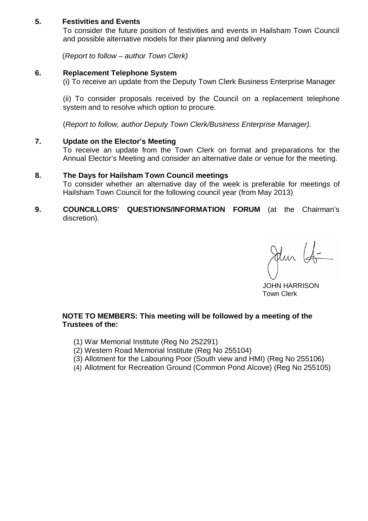# **5. Festivities and Events**

To consider the future position of festivities and events in Hailsham Town Council and possible alternative models for their planning and delivery

(*Report to follow – author Town Clerk)*

#### **6. Replacement Telephone System**

(i) To receive an update from the Deputy Town Clerk Business Enterprise Manager

(ii) To consider proposals received by the Council on a replacement telephone system and to resolve which option to procure.

(*Report to follow, author Deputy Town Clerk/Business Enterprise Manager).*

#### **7. Update on the Elector's Meeting**

To receive an update from the Town Clerk on format and preparations for the Annual Elector's Meeting and consider an alternative date or venue for the meeting.

#### **8. The Days for Hailsham Town Council meetings**

To consider whether an alternative day of the week is preferable for meetings of Hailsham Town Council for the following council year (from May 2013)

#### **9. COUNCILLORS' QUESTIONS/INFORMATION FORUM** (at the Chairman's discretion).

Jelun (S-

 JOHN HARRISON Town Clerk

### **NOTE TO MEMBERS: This meeting will be followed by a meeting of the Trustees of the:**

- (1) War Memorial Institute (Reg No 252291)
- (2) Western Road Memorial Institute (Reg No 255104)
- (3) Allotment for the Labouring Poor (South view and HMI) (Reg No 255106)
- (4) Allotment for Recreation Ground (Common Pond Alcove) (Reg No 255105)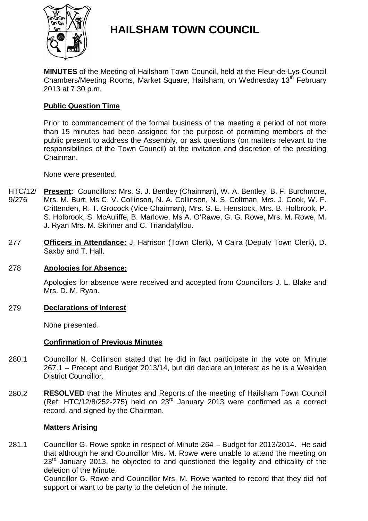

# **HAILSHAM TOWN COUNCIL**

**MINUTES** of the Meeting of Hailsham Town Council, held at the Fleur-de-Lys Council Chambers/Meeting Rooms, Market Square, Hailsham, on Wednesday 13<sup>th</sup> February 2013 at 7.30 p.m.

# **Public Question Time**

Prior to commencement of the formal business of the meeting a period of not more than 15 minutes had been assigned for the purpose of permitting members of the public present to address the Assembly, or ask questions (on matters relevant to the responsibilities of the Town Council) at the invitation and discretion of the presiding Chairman.

None were presented.

- HTC/12/ 9/276 **Present:** Councillors: Mrs. S. J. Bentley (Chairman), W. A. Bentley, B. F. Burchmore, Mrs. M. Burt, Ms C. V. Collinson, N. A. Collinson, N. S. Coltman, Mrs. J. Cook, W. F. Crittenden, R. T. Grocock (Vice Chairman), Mrs. S. E. Henstock, Mrs. B. Holbrook, P. S. Holbrook, S. McAuliffe, B. Marlowe, Ms A. O'Rawe, G. G. Rowe, Mrs. M. Rowe, M. J. Ryan Mrs. M. Skinner and C. Triandafyllou.
- 277 **Officers in Attendance:** J. Harrison (Town Clerk), M Caira (Deputy Town Clerk), D. Saxby and T. Hall.

#### 278 **Apologies for Absence:**

Apologies for absence were received and accepted from Councillors J. L. Blake and Mrs. D. M. Ryan.

### 279 **Declarations of Interest**

None presented.

### **Confirmation of Previous Minutes**

- 280.1 Councillor N. Collinson stated that he did in fact participate in the vote on Minute 267.1 – Precept and Budget 2013/14, but did declare an interest as he is a Wealden District Councillor.
- 280.2 **RESOLVED** that the Minutes and Reports of the meeting of Hailsham Town Council (Ref: HTC/12/8/252-275) held on  $23<sup>rd</sup>$  January 2013 were confirmed as a correct record, and signed by the Chairman.

#### **Matters Arising**

281.1 Councillor G. Rowe spoke in respect of Minute 264 – Budget for 2013/2014. He said that although he and Councillor Mrs. M. Rowe were unable to attend the meeting on  $23<sup>rd</sup>$  January 2013, he objected to and questioned the legality and ethicality of the deletion of the Minute.

Councillor G. Rowe and Councillor Mrs. M. Rowe wanted to record that they did not support or want to be party to the deletion of the minute.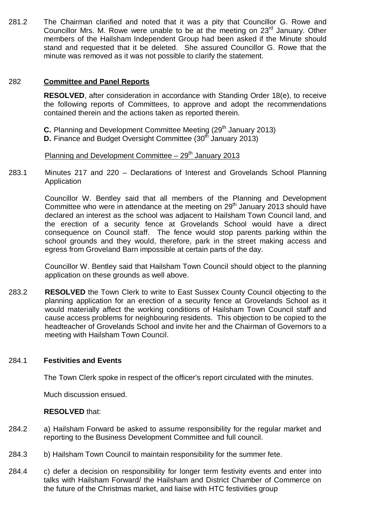281.2 The Chairman clarified and noted that it was a pity that Councillor G. Rowe and Councillor Mrs. M. Rowe were unable to be at the meeting on  $23<sup>rd</sup>$  January. Other members of the Hailsham Independent Group had been asked if the Minute should stand and requested that it be deleted. She assured Councillor G. Rowe that the minute was removed as it was not possible to clarify the statement.

# 282 **Committee and Panel Reports**

**RESOLVED**, after consideration in accordance with Standing Order 18(e), to receive the following reports of Committees, to approve and adopt the recommendations contained therein and the actions taken as reported therein.

**C.** Planning and Development Committee Meeting (29<sup>th</sup> January 2013)

**D.** Finance and Budget Oversight Committee (30<sup>th</sup> January 2013)

Planning and Development Committee  $-29<sup>th</sup>$  January 2013

283.1 Minutes 217 and 220 – Declarations of Interest and Grovelands School Planning Application

> Councillor W. Bentley said that all members of the Planning and Development Committee who were in attendance at the meeting on  $29<sup>th</sup>$  January 2013 should have declared an interest as the school was adjacent to Hailsham Town Council land, and the erection of a security fence at Grovelands School would have a direct consequence on Council staff. The fence would stop parents parking within the school grounds and they would, therefore, park in the street making access and egress from Groveland Barn impossible at certain parts of the day.

> Councillor W. Bentley said that Hailsham Town Council should object to the planning application on these grounds as well above.

283.2 **RESOLVED** the Town Clerk to write to East Sussex County Council objecting to the planning application for an erection of a security fence at Grovelands School as it would materially affect the working conditions of Hailsham Town Council staff and cause access problems for neighbouring residents. This objection to be copied to the headteacher of Grovelands School and invite her and the Chairman of Governors to a meeting with Hailsham Town Council.

#### 284.1 **Festivities and Events**

The Town Clerk spoke in respect of the officer's report circulated with the minutes.

Much discussion ensued.

# **RESOLVED** that:

- 284.2 a) Hailsham Forward be asked to assume responsibility for the regular market and reporting to the Business Development Committee and full council.
- 284.3 b) Hailsham Town Council to maintain responsibility for the summer fete.
- 284.4 c) defer a decision on responsibility for longer term festivity events and enter into talks with Hailsham Forward/ the Hailsham and District Chamber of Commerce on the future of the Christmas market, and liaise with HTC festivities group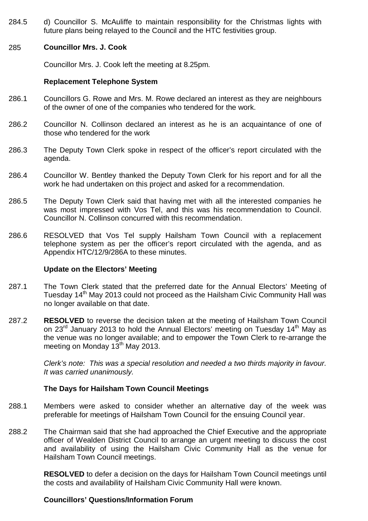284.5 d) Councillor S. McAuliffe to maintain responsibility for the Christmas lights with future plans being relayed to the Council and the HTC festivities group.

### 285 **Councillor Mrs. J. Cook**

Councillor Mrs. J. Cook left the meeting at 8.25pm.

#### **Replacement Telephone System**

- 286.1 Councillors G. Rowe and Mrs. M. Rowe declared an interest as they are neighbours of the owner of one of the companies who tendered for the work.
- 286.2 Councillor N. Collinson declared an interest as he is an acquaintance of one of those who tendered for the work
- 286.3 The Deputy Town Clerk spoke in respect of the officer's report circulated with the agenda.
- 286.4 Councillor W. Bentley thanked the Deputy Town Clerk for his report and for all the work he had undertaken on this project and asked for a recommendation.
- 286.5 The Deputy Town Clerk said that having met with all the interested companies he was most impressed with Vos Tel, and this was his recommendation to Council. Councillor N. Collinson concurred with this recommendation.
- 286.6 RESOLVED that Vos Tel supply Hailsham Town Council with a replacement telephone system as per the officer's report circulated with the agenda, and as Appendix HTC/12/9/286A to these minutes.

#### **Update on the Electors' Meeting**

- 287.1 The Town Clerk stated that the preferred date for the Annual Electors' Meeting of Tuesday 14<sup>th</sup> May 2013 could not proceed as the Hailsham Civic Community Hall was no longer available on that date.
- 287.2 **RESOLVED** to reverse the decision taken at the meeting of Hailsham Town Council on 23<sup>rd</sup> January 2013 to hold the Annual Electors' meeting on Tuesday 14<sup>th</sup> May as the venue was no longer available; and to empower the Town Clerk to re-arrange the meeting on Monday  $13<sup>th</sup>$  May 2013.

*Clerk's note: This was a special resolution and needed a two thirds majority in favour. It was carried unanimously.*

### **The Days for Hailsham Town Council Meetings**

- 288.1 Members were asked to consider whether an alternative day of the week was preferable for meetings of Hailsham Town Council for the ensuing Council year.
- 288.2 The Chairman said that she had approached the Chief Executive and the appropriate officer of Wealden District Council to arrange an urgent meeting to discuss the cost and availability of using the Hailsham Civic Community Hall as the venue for Hailsham Town Council meetings.

**RESOLVED** to defer a decision on the days for Hailsham Town Council meetings until the costs and availability of Hailsham Civic Community Hall were known.

### **Councillors' Questions/Information Forum**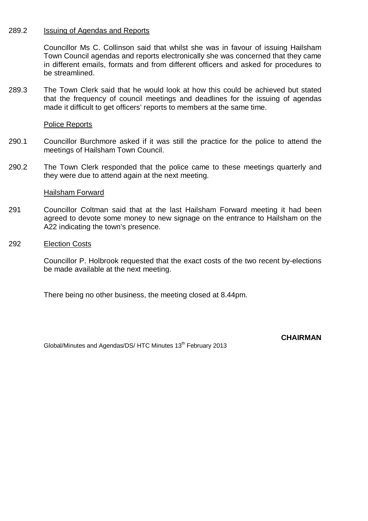#### 289.2 Issuing of Agendas and Reports

Councillor Ms C. Collinson said that whilst she was in favour of issuing Hailsham Town Council agendas and reports electronically she was concerned that they came in different emails, formats and from different officers and asked for procedures to be streamlined.

289.3 The Town Clerk said that he would look at how this could be achieved but stated that the frequency of council meetings and deadlines for the issuing of agendas made it difficult to get officers' reports to members at the same time.

#### Police Reports

- 290.1 Councillor Burchmore asked if it was still the practice for the police to attend the meetings of Hailsham Town Council.
- 290.2 The Town Clerk responded that the police came to these meetings quarterly and they were due to attend again at the next meeting.

#### Hailsham Forward

- 291 Councillor Coltman said that at the last Hailsham Forward meeting it had been agreed to devote some money to new signage on the entrance to Hailsham on the A22 indicating the town's presence.
- 292 Election Costs

Councillor P. Holbrook requested that the exact costs of the two recent by-elections be made available at the next meeting.

There being no other business, the meeting closed at 8.44pm.

Global/Minutes and Agendas/DS/ HTC Minutes 13<sup>th</sup> February 2013

**CHAIRMAN**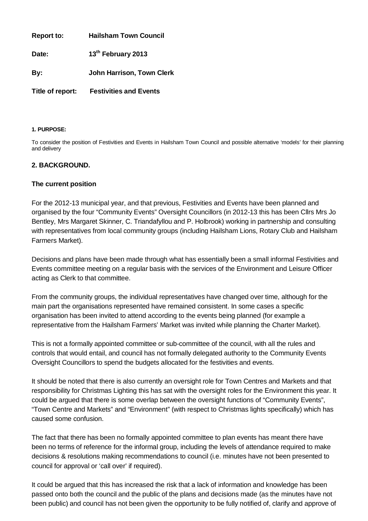**Report to: Hailsham Town Council**

**Date: 13th February 2013**

**By: John Harrison, Town Clerk**

**Title of report: Festivities and Events**

#### **1. PURPOSE:**

To consider the position of Festivities and Events in Hailsham Town Council and possible alternative 'models' for their planning and delivery

#### **2. BACKGROUND.**

#### **The current position**

For the 2012-13 municipal year, and that previous, Festivities and Events have been planned and organised by the four "Community Events" Oversight Councillors (in 2012-13 this has been Cllrs Mrs Jo Bentley, Mrs Margaret Skinner, C. Triandafyllou and P. Holbrook) working in partnership and consulting with representatives from local community groups (including Hailsham Lions, Rotary Club and Hailsham Farmers Market).

Decisions and plans have been made through what has essentially been a small informal Festivities and Events committee meeting on a regular basis with the services of the Environment and Leisure Officer acting as Clerk to that committee.

From the community groups, the individual representatives have changed over time, although for the main part the organisations represented have remained consistent. In some cases a specific organisation has been invited to attend according to the events being planned (for example a representative from the Hailsham Farmers' Market was invited while planning the Charter Market).

This is not a formally appointed committee or sub-committee of the council, with all the rules and controls that would entail, and council has not formally delegated authority to the Community Events Oversight Councillors to spend the budgets allocated for the festivities and events.

It should be noted that there is also currently an oversight role for Town Centres and Markets and that responsibility for Christmas Lighting this has sat with the oversight roles for the Environment this year. It could be argued that there is some overlap between the oversight functions of "Community Events", "Town Centre and Markets" and "Environment" (with respect to Christmas lights specifically) which has caused some confusion.

The fact that there has been no formally appointed committee to plan events has meant there have been no terms of reference for the informal group, including the levels of attendance required to make decisions & resolutions making recommendations to council (i.e. minutes have not been presented to council for approval or 'call over' if required).

It could be argued that this has increased the risk that a lack of information and knowledge has been passed onto both the council and the public of the plans and decisions made (as the minutes have not been public) and council has not been given the opportunity to be fully notified of, clarify and approve of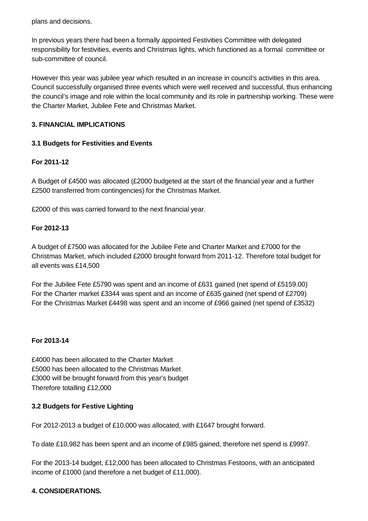plans and decisions.

In previous years there had been a formally appointed Festivities Committee with delegated responsibility for festivities, events and Christmas lights, which functioned as a formal committee or sub-committee of council.

However this year was jubilee year which resulted in an increase in council's activities in this area. Council successfully organised three events which were well received and successful, thus enhancing the council's image and role within the local community and its role in partnership working. These were the Charter Market, Jubilee Fete and Christmas Market.

### **3. FINANCIAL IMPLICATIONS**

# **3.1 Budgets for Festivities and Events**

# **For 2011-12**

A Budget of £4500 was allocated (£2000 budgeted at the start of the financial year and a further £2500 transferred from contingencies) for the Christmas Market.

£2000 of this was carried forward to the next financial year.

### **For 2012-13**

A budget of £7500 was allocated for the Jubilee Fete and Charter Market and £7000 for the Christmas Market, which included £2000 brought forward from 2011-12. Therefore total budget for all events was £14,500

For the Jubilee Fete £5790 was spent and an income of £631 gained (net spend of £5159.00) For the Charter market £3344 was spent and an income of £635 gained (net spend of £2709) For the Christmas Market £4498 was spent and an income of £966 gained (net spend of £3532)

### **For 2013-14**

£4000 has been allocated to the Charter Market £5000 has been allocated to the Christmas Market £3000 will be brought forward from this year's budget Therefore totalling £12,000

### **3.2 Budgets for Festive Lighting**

For 2012-2013 a budget of £10,000 was allocated, with £1647 brought forward.

To date £10,982 has been spent and an income of £985 gained, therefore net spend is £9997.

For the 2013-14 budget, £12,000 has been allocated to Christmas Festoons, with an anticipated income of £1000 (and therefore a net budget of £11,000).

### **4. CONSIDERATIONS.**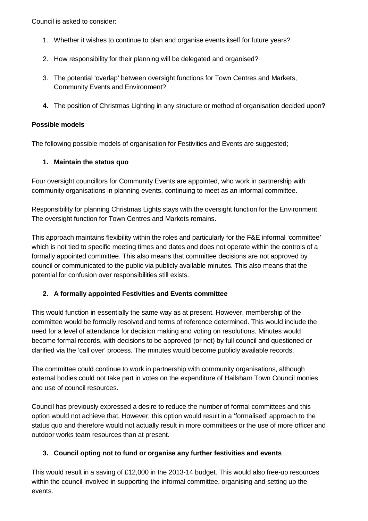Council is asked to consider:

- 1. Whether it wishes to continue to plan and organise events itself for future years?
- 2. How responsibility for their planning will be delegated and organised?
- 3. The potential 'overlap' between oversight functions for Town Centres and Markets, Community Events and Environment?
- **4.** The position of Christmas Lighting in any structure or method of organisation decided upon**?**

#### **Possible models**

The following possible models of organisation for Festivities and Events are suggested;

### **1. Maintain the status quo**

Four oversight councillors for Community Events are appointed, who work in partnership with community organisations in planning events, continuing to meet as an informal committee.

Responsibility for planning Christmas Lights stays with the oversight function for the Environment. The oversight function for Town Centres and Markets remains.

This approach maintains flexibility within the roles and particularly for the F&E informal 'committee' which is not tied to specific meeting times and dates and does not operate within the controls of a formally appointed committee. This also means that committee decisions are not approved by council or communicated to the public via publicly available minutes. This also means that the potential for confusion over responsibilities still exists.

### **2. A formally appointed Festivities and Events committee**

This would function in essentially the same way as at present. However, membership of the committee would be formally resolved and terms of reference determined. This would include the need for a level of attendance for decision making and voting on resolutions. Minutes would become formal records, with decisions to be approved (or not) by full council and questioned or clarified via the 'call over' process. The minutes would become publicly available records.

The committee could continue to work in partnership with community organisations, although external bodies could not take part in votes on the expenditure of Hailsham Town Council monies and use of council resources.

Council has previously expressed a desire to reduce the number of formal committees and this option would not achieve that. However, this option would result in a 'formalised' approach to the status quo and therefore would not actually result in more committees or the use of more officer and outdoor works team resources than at present.

### **3. Council opting not to fund or organise any further festivities and events**

This would result in a saving of £12,000 in the 2013-14 budget. This would also free-up resources within the council involved in supporting the informal committee, organising and setting up the events.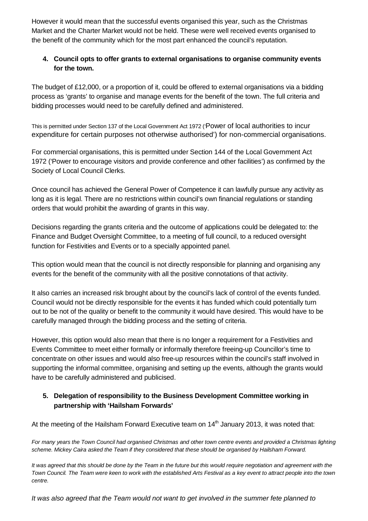However it would mean that the successful events organised this year, such as the Christmas Market and the Charter Market would not be held. These were well received events organised to the benefit of the community which for the most part enhanced the council's reputation.

# **4. Council opts to offer grants to external organisations to organise community events for the town.**

The budget of £12,000, or a proportion of it, could be offered to external organisations via a bidding process as 'grants' to organise and manage events for the benefit of the town. The full criteria and bidding processes would need to be carefully defined and administered.

This is permitted under Section 137 of the Local Government Act 1972 ('Power of local authorities to incur expenditure for certain purposes not otherwise authorised') for non-commercial organisations.

For commercial organisations, this is permitted under Section 144 of the Local Government Act 1972 ('Power to encourage visitors and provide conference and other facilities') as confirmed by the Society of Local Council Clerks.

Once council has achieved the General Power of Competence it can lawfully pursue any activity as long as it is legal. There are no restrictions within council's own financial regulations or standing orders that would prohibit the awarding of grants in this way.

Decisions regarding the grants criteria and the outcome of applications could be delegated to: the Finance and Budget Oversight Committee, to a meeting of full council, to a reduced oversight function for Festivities and Events or to a specially appointed panel.

This option would mean that the council is not directly responsible for planning and organising any events for the benefit of the community with all the positive connotations of that activity.

It also carries an increased risk brought about by the council's lack of control of the events funded. Council would not be directly responsible for the events it has funded which could potentially turn out to be not of the quality or benefit to the community it would have desired. This would have to be carefully managed through the bidding process and the setting of criteria.

However, this option would also mean that there is no longer a requirement for a Festivities and Events Committee to meet either formally or informally therefore freeing-up Councillor's time to concentrate on other issues and would also free-up resources within the council's staff involved in supporting the informal committee, organising and setting up the events, although the grants would have to be carefully administered and publicised.

# **5. Delegation of responsibility to the Business Development Committee working in partnership with 'Hailsham Forwards'**

At the meeting of the Hailsham Forward Executive team on 14<sup>th</sup> January 2013, it was noted that:

*For many years the Town Council had organised Christmas and other town centre events and provided a Christmas lighting scheme. Mickey Caira asked the Team if they considered that these should be organised by Hailsham Forward.*

*It was agreed that this should be done by the Team in the future but this would require negotiation and agreement with the Town Council. The Team were keen to work with the established Arts Festival as a key event to attract people into the town centre.* 

*It was also agreed that the Team would not want to get involved in the summer fete planned to*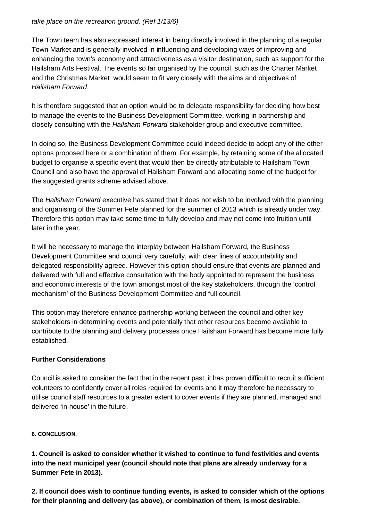#### *take place on the recreation ground. (Ref 1/13/6)*

The Town team has also expressed interest in being directly involved in the planning of a regular Town Market and is generally involved in influencing and developing ways of improving and enhancing the town's economy and attractiveness as a visitor destination, such as support for the Hailsham Arts Festival. The events so far organised by the council, such as the Charter Market and the Christmas Market would seem to fit very closely with the aims and objectives of *Hailsham Forward*.

It is therefore suggested that an option would be to delegate responsibility for deciding how best to manage the events to the Business Development Committee, working in partnership and closely consulting with the *Hailsham Forward* stakeholder group and executive committee.

In doing so, the Business Development Committee could indeed decide to adopt any of the other options proposed here or a combination of them. For example, by retaining some of the allocated budget to organise a specific event that would then be directly attributable to Hailsham Town Council and also have the approval of Hailsham Forward and allocating some of the budget for the suggested grants scheme advised above.

The *Hailsham Forward* executive has stated that it does not wish to be involved with the planning and organising of the Summer Fete planned for the summer of 2013 which is already under way. Therefore this option may take some time to fully develop and may not come into fruition until later in the year.

It will be necessary to manage the interplay between Hailsham Forward, the Business Development Committee and council very carefully, with clear lines of accountability and delegated responsibility agreed. However this option should ensure that events are planned and delivered with full and effective consultation with the body appointed to represent the business and economic interests of the town amongst most of the key stakeholders, through the 'control mechanism' of the Business Development Committee and full council.

This option may therefore enhance partnership working between the council and other key stakeholders in determining events and potentially that other resources become available to contribute to the planning and delivery processes once Hailsham Forward has become more fully established.

### **Further Considerations**

Council is asked to consider the fact that in the recent past, it has proven difficult to recruit sufficient volunteers to confidently cover all roles required for events and it may therefore be necessary to utilise council staff resources to a greater extent to cover events if they are planned, managed and delivered 'in-house' in the future.

### **6. CONCLUSION.**

**1. Council is asked to consider whether it wished to continue to fund festivities and events into the next municipal year (council should note that plans are already underway for a Summer Fete in 2013).** 

**2. If council does wish to continue funding events, is asked to consider which of the options for their planning and delivery (as above), or combination of them, is most desirable.**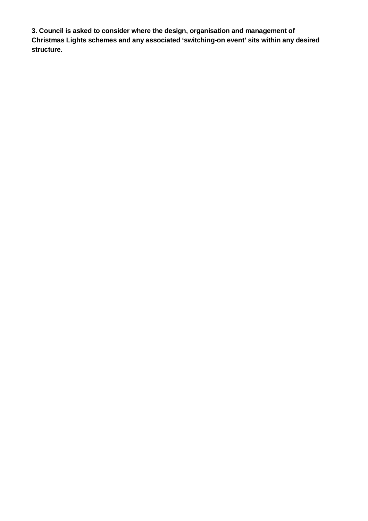**3. Council is asked to consider where the design, organisation and management of Christmas Lights schemes and any associated 'switching-on event' sits within any desired structure.**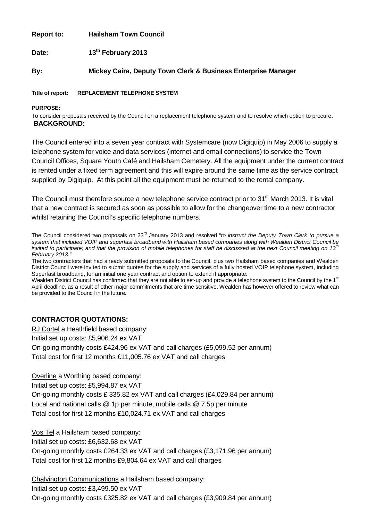**Report to: Hailsham Town Council**

**Date: 13th February 2013**

**By: Mickey Caira, Deputy Town Clerk & Business Enterprise Manager**

**Title of report: REPLACEMENT TELEPHONE SYSTEM**

**PURPOSE:**

To consider proposals received by the Council on a replacement telephone system and to resolve which option to procure. **BACKGROUND:**

The Council entered into a seven year contract with Systemcare (now Digiquip) in May 2006 to supply a telephone system for voice and data services (internet and email connections) to service the Town Council Offices, Square Youth Café and Hailsham Cemetery. All the equipment under the current contract is rented under a fixed term agreement and this will expire around the same time as the service contract supplied by Digiquip. At this point all the equipment must be returned to the rental company.

The Council must therefore source a new telephone service contract prior to 31<sup>st</sup> March 2013. It is vital that a new contract is secured as soon as possible to allow for the changeover time to a new contractor whilst retaining the Council's specific telephone numbers.

The Council considered two proposals on 23rd January 2013 and resolved "*to instruct the Deputy Town Clerk to pursue a system that included VOIP and superfast broadband with Hailsham based companies along with Wealden District Council be invited to participate; and that the provision of mobile telephones for staff be discussed at the next Council meeting on 13th February 2013."*

The two contractors that had already submitted proposals to the Council, plus two Hailsham based companies and Wealden District Council were invited to submit quotes for the supply and services of a fully hosted VOIP telephone system, including Superfast broadband, for an initial one year contract and option to extend if appropriate.

Wealden District Council has confirmed that they are not able to set-up and provide a telephone system to the Council by the 1<sup>st</sup> April deadline, as a result of other major commitments that are time sensitive. Wealden has however offered to review what can be provided to the Council in the future.

### **CONTRACTOR QUOTATIONS:**

RJ Cortel a Heathfield based company:

Initial set up costs: £5,906.24 ex VAT

On-going monthly costs £424.96 ex VAT and call charges (£5,099.52 per annum) Total cost for first 12 months £11,005.76 ex VAT and call charges

Overline a Worthing based company:

Initial set up costs: £5,994.87 ex VAT

On-going monthly costs £ 335.82 ex VAT and call charges (£4,029.84 per annum) Local and national calls @ 1p per minute, mobile calls @ 7.5p per minute Total cost for first 12 months £10,024.71 ex VAT and call charges

Vos Tel a Hailsham based company: Initial set up costs: £6,632.68 ex VAT

On-going monthly costs £264.33 ex VAT and call charges (£3,171.96 per annum) Total cost for first 12 months £9,804.64 ex VAT and call charges

Chalvington Communications a Hailsham based company: Initial set up costs: £3,499.50 ex VAT On-going monthly costs £325.82 ex VAT and call charges (£3,909.84 per annum)